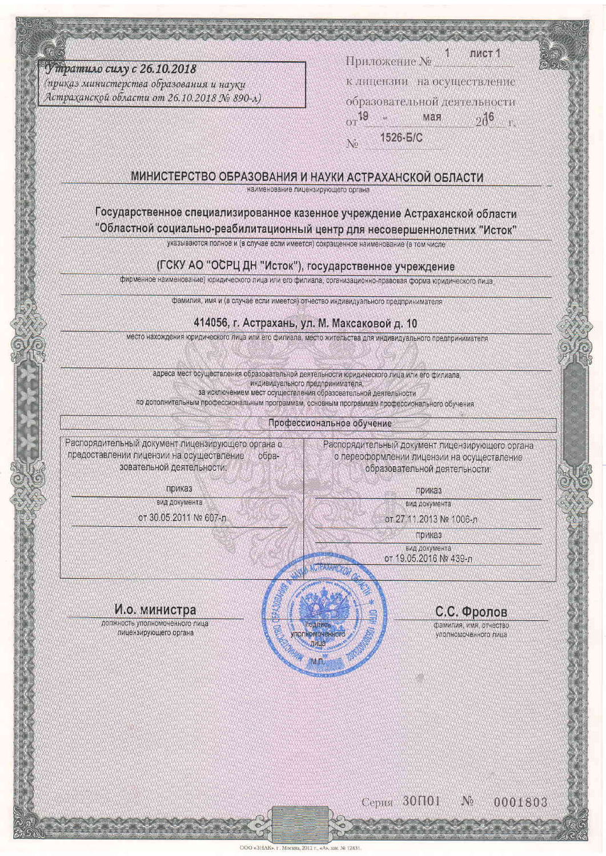У тратило силу с 26.10.2018

(приказ министерства образования и науки Астраханской области от 26.10.2018 № 890-л)

пист 1 Приложение №

к лицензии на осуществление образовательной деятельности  $\text{O} \tau$ 19 мая  $0.16$ 

1526-6/C No

#### МИНИСТЕРСТВО ОБРАЗОВАНИЯ И НАУКИ АСТРАХАНСКОЙ ОБЛАСТИ

наименование лицензирующего органа

# Государственное специализированное казенное учреждение Астраханской области

"Областной социально-реабилитационный центр для несовершеннолетних "Исток"

указываются полное и (в случае если имеется) сокращенное наименование (в том числе

## (ГСКУ АО "ОСРЦ ДН "Исток"), государственное учреждение

фирменное наименование) юридического лица или его филиала, организационно-правовая форма юридического лица,

фамилия, имя и (в случае если имеется) отчество индивидуального предпринимателя

### 414056, г. Астрахань, ул. М. Максаковой д. 10

место нахождения юридического лица или его филиала, место жительства для индивидуального предпринимателя

адреса мест осуществления образовательной деятельности юридического лица или его филиала, индивидуального предпринимателя, за исключением мест осуществления образовательной деятельности

по дополнительным профессиональным программам, основным программам профессионального обучения

Профессиональное обучение

Распорядительный документ лицензирующего органа о предоставлении лицензии на осуществление образовательной деятельности:

Распорядительный документ лицензирующего органа о переоформлении лицензии на осуществление образовательной деятельности

приказ

вид документа

от 30.05.2011 № 607-л

приказ вид документа

от 27.11.2013 № 1006-л

приказ

вид документа от 19.05.2016 № 439-л

# С.С. Фролов

фамилия, имя, отчество уполномоченного лица

И.о. министра

должность уполномоченного лица лицензирующего органа

> Серия 30П01  $\mathcal{N}_{0}$

0001803

ODO - SUAR 35.12421